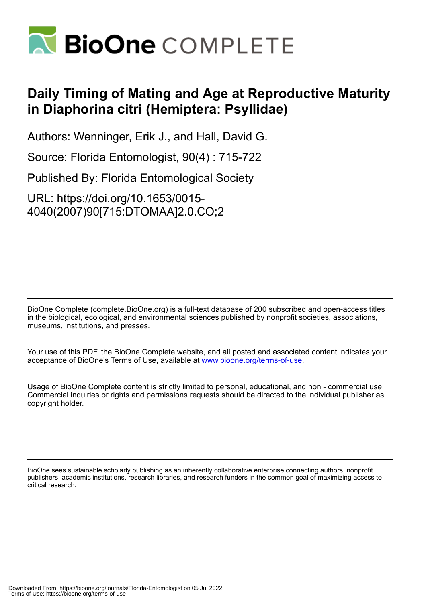

# **Daily Timing of Mating and Age at Reproductive Maturity in Diaphorina citri (Hemiptera: Psyllidae)**

Authors: Wenninger, Erik J., and Hall, David G.

Source: Florida Entomologist, 90(4) : 715-722

Published By: Florida Entomological Society

URL: https://doi.org/10.1653/0015- 4040(2007)90[715:DTOMAA]2.0.CO;2

BioOne Complete (complete.BioOne.org) is a full-text database of 200 subscribed and open-access titles in the biological, ecological, and environmental sciences published by nonprofit societies, associations, museums, institutions, and presses.

Your use of this PDF, the BioOne Complete website, and all posted and associated content indicates your acceptance of BioOne's Terms of Use, available at www.bioone.org/terms-of-use.

Usage of BioOne Complete content is strictly limited to personal, educational, and non - commercial use. Commercial inquiries or rights and permissions requests should be directed to the individual publisher as copyright holder.

BioOne sees sustainable scholarly publishing as an inherently collaborative enterprise connecting authors, nonprofit publishers, academic institutions, research libraries, and research funders in the common goal of maximizing access to critical research.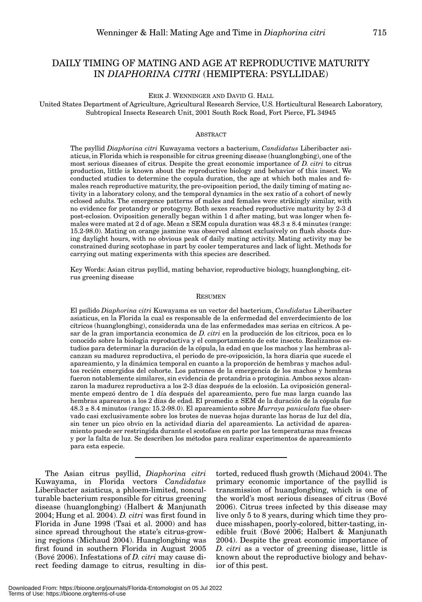## DAILY TIMING OF MATING AND AGE AT REPRODUCTIVE MATURITY IN *DIAPHORINA CITRI* (HEMIPTERA: PSYLLIDAE)

ERIK J. WENNINGER AND DAVID G. HALL

United States Department of Agriculture, Agricultural Research Service, U.S. Horticultural Research Laboratory, Subtropical Insects Research Unit, 2001 South Rock Road, Fort Pierce, FL 34945

## ABSTRACT

The psyllid *Diaphorina citri* Kuwayama vectors a bacterium, *Candidatus* Liberibacter asiaticus, in Florida which is responsible for citrus greening disease (huanglongbing), one of the most serious diseases of citrus. Despite the great economic importance of *D. citri* to citrus production, little is known about the reproductive biology and behavior of this insect. We conducted studies to determine the copula duration, the age at which both males and females reach reproductive maturity, the pre-oviposition period, the daily timing of mating activity in a laboratory colony, and the temporal dynamics in the sex ratio of a cohort of newly eclosed adults. The emergence patterns of males and females were strikingly similar, with no evidence for protandry or protogyny. Both sexes reached reproductive maturity by 2-3 d post-eclosion. Oviposition generally began within 1 d after mating, but was longer when females were mated at 2 d of age. Mean  $\pm$  SEM copula duration was  $48.3 \pm 8.4$  minutes (range: 15.2-98.0). Mating on orange jasmine was observed almost exclusively on flush shoots during daylight hours, with no obvious peak of daily mating activity. Mating activity may be constrained during scotophase in part by cooler temperatures and lack of light. Methods for carrying out mating experiments with this species are described.

Key Words: Asian citrus psyllid, mating behavior, reproductive biology, huanglongbing, citrus greening disease

#### **RESUMEN**

El psílido *Diaphorina citri* Kuwayama es un vector del bacterium, *Candidatus* Liberibacter asiaticus, en la Florida la cual es responsable de la enfermedad del enverdecimiento de los cítricos (huanglongbing), considerada una de las enfermedades mas serias en cítricos. A pesar de la gran importancia economica de *D. citri* en la producción de los cítricos, poca es lo conocido sobre la biologia reproductiva y el comportamiento de este insecto. Realizamos estudios para determinar la duración de la cópula, la edad en que los machos y las hembras alcanzan su madurez reproductiva, el periodo de pre-oviposición, la hora diaria que sucede el apareamiento, y la dinámica temporal en cuanto a la proporción de hembras y machos adultos recién emergidos del cohorte. Los patrones de la emergencia de los machos y hembras fueron notablemente similares, sin evidencia de protandria o protoginia. Ambos sexos alcanzaron la madurez reproductiva a los 2-3 días después de la eclosión. La oviposición generalmente empezó dentro de 1 día después del apareamiento, pero fue mas larga cuando las hembras aparearon a los 2 días de edad. El promedio ± SEM de la duración de la cópula fue 48.3 ± 8.4 minutos (rango: 15.2-98.0). El apareamiento sobre *Murraya paniculata* fue observado casi exclusivamente sobre los brotes de nuevas hojas durante las horas de luz del día, sin tener un pico obvio en la actividad diaria del apareamiento. La actividad de apareamiento puede ser restringida durante el scotofase en parte por las temperaturas mas frescas y por la falta de luz. Se describen los métodos para realizar experimentos de apareamiento para esta especie.

The Asian citrus psyllid, *Diaphorina citri* Kuwayama, in Florida vectors *Candidatus* Liberibacter asiaticus, a phloem-limited, nonculturable bacterium responsible for citrus greening disease (huanglongbing) (Halbert & Manjunath 2004; Hung et al. 2004). *D. citri* was first found in Florida in June 1998 (Tsai et al. 2000) and has since spread throughout the state's citrus-growing regions (Michaud 2004). Huanglongbing was first found in southern Florida in August 2005 (Bové 2006). Infestations of *D. citri* may cause direct feeding damage to citrus, resulting in distorted, reduced flush growth (Michaud 2004). The primary economic importance of the psyllid is transmission of huanglongbing, which is one of the world's most serious diseases of citrus (Bové 2006). Citrus trees infected by this disease may live only 5 to 8 years, during which time they produce misshapen, poorly-colored, bitter-tasting, inedible fruit (Bové 2006; Halbert & Manjunath 2004). Despite the great economic importance of *D. citri* as a vector of greening disease, little is known about the reproductive biology and behavior of this pest.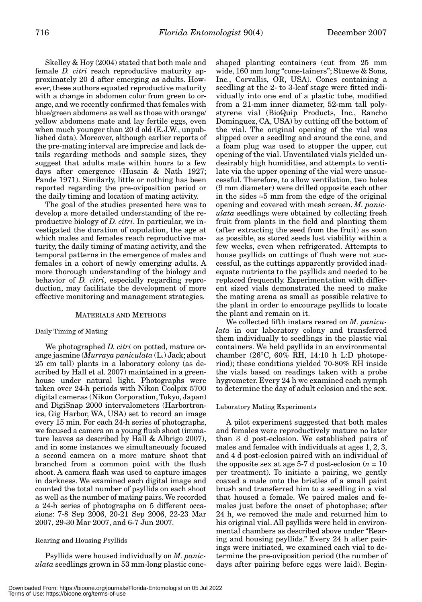Skelley & Hoy (2004) stated that both male and female *D. citri* reach reproductive maturity approximately 20 d after emerging as adults. However, these authors equated reproductive maturity with a change in abdomen color from green to orange, and we recently confirmed that females with blue/green abdomens as well as those with orange/ yellow abdomens mate and lay fertile eggs, even when much younger than 20 d old (E.J.W., unpublished data). Moreover, although earlier reports of the pre-mating interval are imprecise and lack details regarding methods and sample sizes, they suggest that adults mate within hours to a few days after emergence (Husain & Nath 1927; Pande 1971). Similarly, little or nothing has been reported regarding the pre-oviposition period or the daily timing and location of mating activity.

The goal of the studies presented here was to develop a more detailed understanding of the reproductive biology of *D. citri*. In particular, we investigated the duration of copulation, the age at which males and females reach reproductive maturity, the daily timing of mating activity, and the temporal patterns in the emergence of males and females in a cohort of newly emerging adults. A more thorough understanding of the biology and behavior of *D. citri*, especially regarding reproduction, may facilitate the development of more effective monitoring and management strategies.

## MATERIALS AND METHODS

## Daily Timing of Mating

We photographed *D. citri* on potted, mature orange jasmine (*Murraya paniculata* (L.) Jack; about 25 cm tall) plants in a laboratory colony (as described by Hall et al. 2007) maintained in a greenhouse under natural light. Photographs were taken over 24-h periods with Nikon Coolpix 5700 digital cameras (Nikon Corporation, Tokyo, Japan) and DigiSnap 2000 intervalometers (Harbortronics, Gig Harbor, WA, USA) set to record an image every 15 min. For each 24-h series of photographs, we focused a camera on a young flush shoot (immature leaves as described by Hall & Albrigo 2007), and in some instances we simultaneously focused a second camera on a more mature shoot that branched from a common point with the flush shoot. A camera flash was used to capture images in darkness. We examined each digital image and counted the total number of psyllids on each shoot as well as the number of mating pairs. We recorded a 24-h series of photographs on 5 different occasions: 7-8 Sep 2006, 20-21 Sep 2006, 22-23 Mar 2007, 29-30 Mar 2007, and 6-7 Jun 2007.

## Rearing and Housing Psyllids

Psyllids were housed individually on *M. paniculata* seedlings grown in 53 mm-long plastic coneshaped planting containers (cut from 25 mm wide, 160 mm long "cone-tainers"; Stuewe & Sons, Inc., Corvallis, OR, USA). Cones containing a seedling at the 2- to 3-leaf stage were fitted individually into one end of a plastic tube, modified from a 21-mm inner diameter, 52-mm tall polystyrene vial (BioQuip Products, Inc., Rancho Dominguez, CA, USA) by cutting off the bottom of the vial. The original opening of the vial was slipped over a seedling and around the cone, and a foam plug was used to stopper the upper, cut opening of the vial. Unventilated vials yielded undesirably high humidities, and attempts to ventilate via the upper opening of the vial were unsuccessful. Therefore, to allow ventilation, two holes (9 mm diameter) were drilled opposite each other in the sides ≈5 mm from the edge of the original opening and covered with mesh screen. *M. paniculata* seedlings were obtained by collecting fresh fruit from plants in the field and planting them (after extracting the seed from the fruit) as soon as possible, as stored seeds lost viability within a few weeks, even when refrigerated. Attempts to house psyllids on cuttings of flush were not successful, as the cuttings apparently provided inadequate nutrients to the psyllids and needed to be replaced frequently. Experimentation with different sized vials demonstrated the need to make the mating arena as small as possible relative to the plant in order to encourage psyllids to locate the plant and remain on it.

We collected fifth instars reared on *M. paniculata* in our laboratory colony and transferred them individually to seedlings in the plastic vial containers. We held psyllids in an environmental chamber (26°C, 60% RH, 14:10 h L:D photoperiod); these conditions yielded 70-80% RH inside the vials based on readings taken with a probe hygrometer. Every 24 h we examined each nymph to determine the day of adult eclosion and the sex.

## Laboratory Mating Experiments

A pilot experiment suggested that both males and females were reproductively mature no later than 3 d post-eclosion. We established pairs of males and females with individuals at ages 1, 2, 3, and 4 d post-eclosion paired with an individual of the opposite sex at age 5-7 d post-eclosion  $(n = 10)$ per treatment). To initiate a pairing, we gently coaxed a male onto the bristles of a small paint brush and transferred him to a seedling in a vial that housed a female. We paired males and females just before the onset of photophase; after 24 h, we removed the male and returned him to his original vial. All psyllids were held in environmental chambers as described above under "Rearing and housing psyllids." Every 24 h after pairings were initiated, we examined each vial to determine the pre-oviposition period (the number of days after pairing before eggs were laid). Begin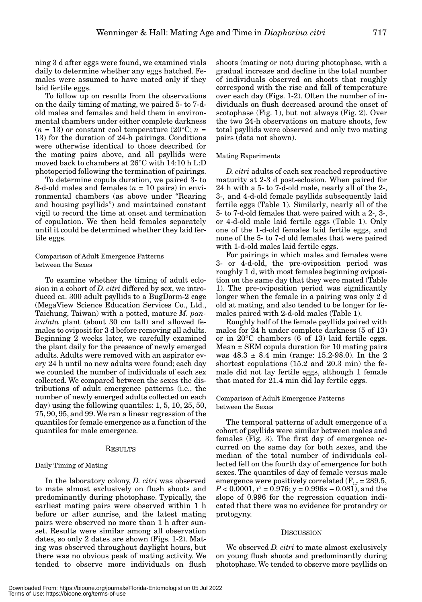ning 3 d after eggs were found, we examined vials daily to determine whether any eggs hatched. Females were assumed to have mated only if they laid fertile eggs.

To follow up on results from the observations on the daily timing of mating, we paired 5- to 7-dold males and females and held them in environmental chambers under either complete darkness  $(n = 13)$  or constant cool temperature  $(20^{\circ}C; n =$ 13) for the duration of 24-h pairings. Conditions were otherwise identical to those described for the mating pairs above, and all psyllids were moved back to chambers at 26°C with 14:10 h L:D photoperiod following the termination of pairings.

To determine copula duration, we paired 3- to 8-d-old males and females  $(n = 10 \text{ pairs})$  in environmental chambers (as above under "Rearing and housing psyllids") and maintained constant vigil to record the time at onset and termination of copulation. We then held females separately until it could be determined whether they laid fertile eggs.

## Comparison of Adult Emergence Patterns between the Sexes

To examine whether the timing of adult eclosion in a cohort of *D. citri* differed by sex, we introduced ca. 300 adult psyllids to a BugDorm-2 cage (MegaView Science Education Services Co., Ltd., Taichung, Taiwan) with a potted, mature *M. paniculata* plant (about 30 cm tall) and allowed females to oviposit for 3 d before removing all adults. Beginning 2 weeks later, we carefully examined the plant daily for the presence of newly emerged adults. Adults were removed with an aspirator every 24 h until no new adults were found; each day we counted the number of individuals of each sex collected. We compared between the sexes the distributions of adult emergence patterns (i.e., the number of newly emerged adults collected on each day) using the following quantiles: 1, 5, 10, 25, 50, 75, 90, 95, and 99. We ran a linear regression of the quantiles for female emergence as a function of the quantiles for male emergence.

## RESULTS

## Daily Timing of Mating

In the laboratory colony, *D. citri* was observed to mate almost exclusively on flush shoots and predominantly during photophase. Typically, the earliest mating pairs were observed within 1 h before or after sunrise, and the latest mating pairs were observed no more than 1 h after sunset. Results were similar among all observation dates, so only 2 dates are shown (Figs. 1-2). Mating was observed throughout daylight hours, but there was no obvious peak of mating activity. We tended to observe more individuals on flush

shoots (mating or not) during photophase, with a gradual increase and decline in the total number of individuals observed on shoots that roughly correspond with the rise and fall of temperature over each day (Figs. 1-2). Often the number of individuals on flush decreased around the onset of scotophase (Fig. 1), but not always (Fig. 2). Over the two 24-h observations on mature shoots, few total psyllids were observed and only two mating pairs (data not shown).

## Mating Experiments

*D. citri* adults of each sex reached reproductive maturity at 2-3 d post-eclosion. When paired for 24 h with a 5- to 7-d-old male, nearly all of the 2-, 3-, and 4-d-old female psyllids subsequently laid fertile eggs (Table 1). Similarly, nearly all of the 5- to 7-d-old females that were paired with a 2-, 3-, or 4-d-old male laid fertile eggs (Table 1). Only one of the 1-d-old females laid fertile eggs, and none of the 5- to 7-d old females that were paired with 1-d-old males laid fertile eggs.

For pairings in which males and females were 3- or 4-d-old, the pre-oviposition period was roughly 1 d, with most females beginning oviposition on the same day that they were mated (Table 1). The pre-oviposition period was significantly longer when the female in a pairing was only 2 d old at mating, and also tended to be longer for females paired with 2-d-old males (Table 1).

Roughly half of the female psyllids paired with males for 24 h under complete darkness (5 of 13) or in 20°C chambers (6 of 13) laid fertile eggs. Mean  $\pm$  SEM copula duration for 10 mating pairs was  $48.3 \pm 8.4$  min (range: 15.2-98.0). In the 2 shortest copulations (15.2 and 20.3 min) the female did not lay fertile eggs, although 1 female that mated for 21.4 min did lay fertile eggs.

## Comparison of Adult Emergence Patterns between the Sexes

The temporal patterns of adult emergence of a cohort of psyllids were similar between males and females (Fig. 3). The first day of emergence occurred on the same day for both sexes, and the median of the total number of individuals collected fell on the fourth day of emergence for both sexes. The quantiles of day of female versus male emergence were positively correlated  $(F_{1,7} = 289.5,$  $P < 0.0001$ ,  $r^2 = 0.976$ ; y = 0.996x – 0.081), and the slope of 0.996 for the regression equation indicated that there was no evidence for protandry or protogyny.

## **DISCUSSION**

We observed *D. citri* to mate almost exclusively on young flush shoots and predominantly during photophase. We tended to observe more psyllids on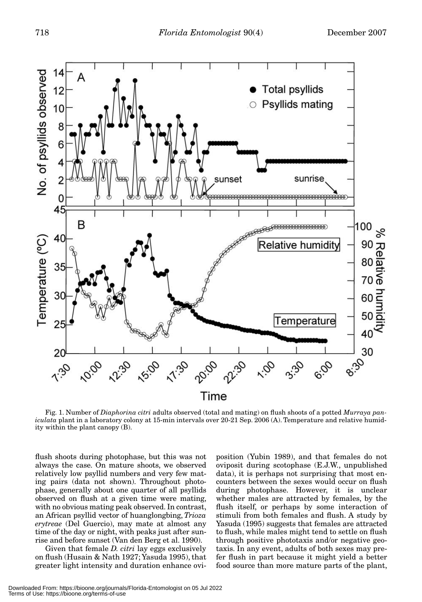

Fig. 1. Number of *Diaphorina citri* adults observed (total and mating) on flush shoots of a potted *Murraya paniculata* plant in a laboratory colony at 15-min intervals over 20-21 Sep. 2006 (A). Temperature and relative humidity within the plant canopy (B).

flush shoots during photophase, but this was not always the case. On mature shoots, we observed relatively low psyllid numbers and very few mating pairs (data not shown). Throughout photophase, generally about one quarter of all psyllids observed on flush at a given time were mating, with no obvious mating peak observed. In contrast, an African psyllid vector of huanglongbing, *Trioza erytreae* (Del Guercio), may mate at almost any time of the day or night, with peaks just after sunrise and before sunset (Van den Berg et al. 1990).

Given that female *D. citri* lay eggs exclusively on flush (Husain & Nath 1927; Yasuda 1995), that greater light intensity and duration enhance ovi-

position (Yubin 1989), and that females do not oviposit during scotophase (E.J.W., unpublished data), it is perhaps not surprising that most encounters between the sexes would occur on flush during photophase. However, it is unclear whether males are attracted by females, by the flush itself, or perhaps by some interaction of stimuli from both females and flush. A study by Yasuda (1995) suggests that females are attracted to flush, while males might tend to settle on flush through positive phototaxis and/or negative geotaxis. In any event, adults of both sexes may prefer flush in part because it might yield a better food source than more mature parts of the plant,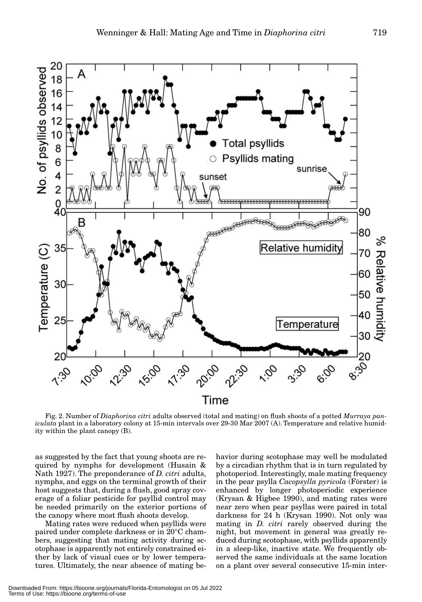

Fig. 2. Number of *Diaphorina citri* adults observed (total and mating) on flush shoots of a potted *Murraya paniculata* plant in a laboratory colony at 15-min intervals over 29-30 Mar 2007 (A). Temperature and relative humidity within the plant canopy (B).

as suggested by the fact that young shoots are required by nymphs for development (Husain & Nath 1927). The preponderance of *D. citri* adults, nymphs, and eggs on the terminal growth of their host suggests that, during a flush, good spray coverage of a foliar pesticide for psyllid control may be needed primarily on the exterior portions of the canopy where most flush shoots develop.

Mating rates were reduced when psyllids were paired under complete darkness or in 20°C chambers, suggesting that mating activity during scotophase is apparently not entirely constrained either by lack of visual cues or by lower temperatures. Ultimately, the near absence of mating behavior during scotophase may well be modulated by a circadian rhythm that is in turn regulated by photoperiod. Interestingly, male mating frequency in the pear psylla *Cacopsylla pyricola* (Förster) is enhanced by longer photoperiodic experience (Krysan & Higbee 1990), and mating rates were near zero when pear psyllas were paired in total darkness for 24 h (Krysan 1990). Not only was mating in *D. citri* rarely observed during the night, but movement in general was greatly reduced during scotophase, with psyllids apparently in a sleep-like, inactive state. We frequently observed the same individuals at the same location on a plant over several consecutive 15-min inter-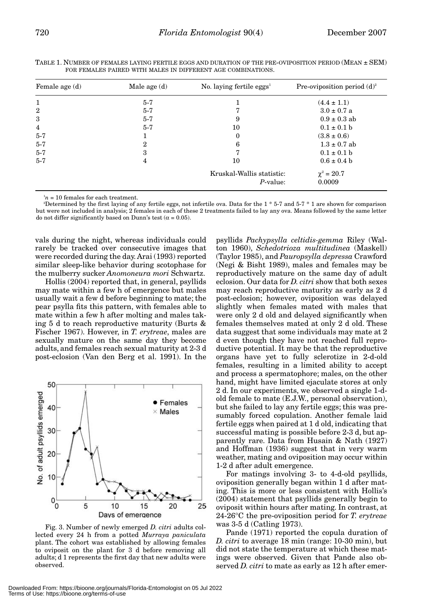| Female age $(d)$ | Male age $(d)$ | No. laying fertile eggs <sup>1</sup>     | Pre-oviposition period $(d)^2$ |
|------------------|----------------|------------------------------------------|--------------------------------|
| 1                | $5 - 7$        |                                          | $(4.4 \pm 1.1)$                |
| $\overline{2}$   | $5 - 7$        | 7                                        | $3.0 \pm 0.7$ a                |
| 3                | $5 - 7$        | 9                                        | $0.9 \pm 0.3$ ab               |
| $\overline{4}$   | $5 - 7$        | 10                                       | $0.1 \pm 0.1 b$                |
| $5 - 7$          |                | 0                                        | $(3.8 \pm 0.6)$                |
| $5 - 7$          | 2              | 6                                        | $1.3 \pm 0.7$ ab               |
| $5 - 7$          | 3              | π                                        | $0.1 \pm 0.1 b$                |
| $5 - 7$          | 4              | 10                                       | $0.6 \pm 0.4$ b                |
|                  |                | Kruskal-Wallis statistic:<br>$P$ -value: | $\chi^2 = 20.7$<br>0.0009      |

TABLE 1. NUMBER OF FEMALES LAYING FERTILE EGGS AND DURATION OF THE PRE-OVIPOSITION PERIOD (MEAN ± SEM) FOR FEMALES PAIRED WITH MALES IN DIFFERENT AGE COMBINATIONS.

 $n = 10$  females for each treatment.

2 Determined by the first laying of any fertile eggs, not infertile ova. Data for the 1 \* 5-7 and 5-7 \* 1 are shown for comparison but were not included in analysis; 2 females in each of these 2 treatments failed to lay any ova. Means followed by the same letter do not differ significantly based on Dunn's test ( $α = 0.05$ ).

vals during the night, whereas individuals could rarely be tracked over consecutive images that were recorded during the day. Arai (1993) reported similar sleep-like behavior during scotophase for the mulberry sucker *Anomoneura mori* Schwartz.

Hollis (2004) reported that, in general, psyllids may mate within a few h of emergence but males usually wait a few d before beginning to mate; the pear psylla fits this pattern, with females able to mate within a few h after molting and males taking 5 d to reach reproductive maturity (Burts & Fischer 1967). However, in *T. erytreae*, males are sexually mature on the same day they become adults, and females reach sexual maturity at 2-3 d post-eclosion (Van den Berg et al. 1991). In the



Fig. 3. Number of newly emerged *D. citri* adults collected every 24 h from a potted *Murraya paniculata* plant. The cohort was established by allowing females to oviposit on the plant for 3 d before removing all adults; d 1 represents the first day that new adults were observed.

psyllids *Pachypsylla celtidis-gemma* Riley (Walton 1960), *Schedotrioza multitudinea* (Maskell) (Taylor 1985), and *Pauropsylla depressa* Crawford (Negi & Bisht 1989), males and females may be reproductively mature on the same day of adult eclosion. Our data for *D. citri* show that both sexes may reach reproductive maturity as early as 2 d post-eclosion; however, oviposition was delayed slightly when females mated with males that were only 2 d old and delayed significantly when females themselves mated at only 2 d old. These data suggest that some individuals may mate at 2 d even though they have not reached full reproductive potential. It may be that the reproductive organs have yet to fully sclerotize in 2-d-old females, resulting in a limited ability to accept and process a spermatophore; males, on the other hand, might have limited ejaculate stores at only 2 d. In our experiments, we observed a single 1-dold female to mate (E.J.W., personal observation), but she failed to lay any fertile eggs; this was presumably forced copulation. Another female laid fertile eggs when paired at 1 d old, indicating that successful mating is possible before 2-3 d, but apparently rare. Data from Husain & Nath (1927) and Hoffman (1936) suggest that in very warm weather, mating and oviposition may occur within 1-2 d after adult emergence.

For matings involving 3- to 4-d-old psyllids, oviposition generally began within 1 d after mating. This is more or less consistent with Hollis's (2004) statement that psyllids generally begin to oviposit within hours after mating. In contrast, at 24-26°C the pre-oviposition period for *T. erytreae* was 3-5 d (Catling 1973).

Pande (1971) reported the copula duration of *D. citri* to average 18 min (range: 10-30 min), but did not state the temperature at which these matings were observed. Given that Pande also observed *D. citri* to mate as early as 12 h after emer-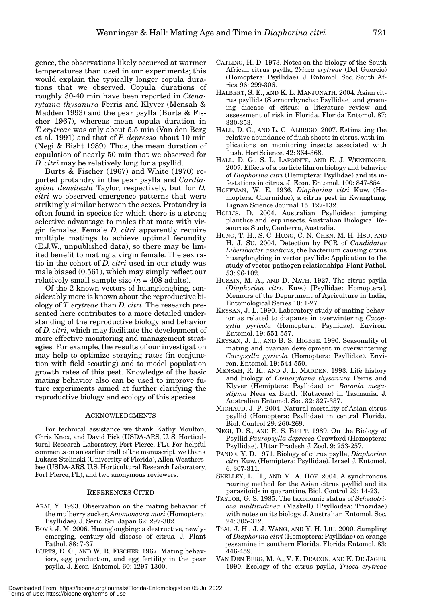gence, the observations likely occurred at warmer temperatures than used in our experiments; this would explain the typically longer copula durations that we observed. Copula durations of roughly 30-40 min have been reported in *Ctenarytaina thysanura* Ferris and Klyver (Mensah & Madden 1993) and the pear psylla (Burts & Fischer 1967), whereas mean copula duration in *T. erytreae* was only about 5.5 min (Van den Berg et al. 1991) and that of *P. depressa* about 10 min (Negi & Bisht 1989). Thus, the mean duration of copulation of nearly 50 min that we observed for *D. citri* may be relatively long for a psyllid.

Burts & Fischer (1967) and White (1970) reported protandry in the pear psylla and *Cardiaspina densitexta* Taylor, respectively, but for *D. citri* we observed emergence patterns that were strikingly similar between the sexes. Protandry is often found in species for which there is a strong selective advantage to males that mate with virgin females. Female *D. citri* apparently require multiple matings to achieve optimal fecundity (E.J.W., unpublished data), so there may be limited benefit to mating a virgin female. The sex ratio in the cohort of *D. citri* used in our study was male biased (0.561), which may simply reflect our relatively small sample size  $(n = 408$  adults).

Of the 2 known vectors of huanglongbing, considerably more is known about the reproductive biology of *T. erytreae* than *D. citri*. The research presented here contributes to a more detailed understanding of the reproductive biology and behavior of *D. citri*, which may facilitate the development of more effective monitoring and management strategies. For example, the results of our investigation may help to optimize spraying rates (in conjunction with field scouting) and to model population growth rates of this pest. Knowledge of the basic mating behavior also can be used to improve future experiments aimed at further clarifying the reproductive biology and ecology of this species.

## ACKNOWLEDGMENTS

For technical assistance we thank Kathy Moulton, Chris Knox, and David Pick (USDA-ARS, U. S. Horticultural Research Laboratory, Fort Pierce, FL). For helpful comments on an earlier draft of the manuscript, we thank Lukasz Stelinski (University of Florida), Allen Weathersbee (USDA-ARS, U.S. Horticultural Research Laboratory, Fort Pierce, FL), and two anonymous reviewers.

## REFERENCES CITED

- ARAI, Y. 1993. Observation on the mating behavior of the mulberry sucker, *Anomoneura mori* (Homoptera: Psyllidae). J. Seric. Sci. Japan 62: 297-302.
- BOVÉ, J. M. 2006. Huanglongbing: a destructive, newlyemerging, century-old disease of citrus. J. Plant Pathol. 88: 7-37.
- BURTS, E. C., AND W. R. FISCHER. 1967. Mating behaviors, egg production, and egg fertility in the pear psylla. J. Econ. Entomol. 60: 1297-1300.
- CATLING, H. D. 1973. Notes on the biology of the South African citrus psylla, *Trioza erytreae* (Del Guercio) (Homoptera: Psyllidae). J. Entomol. Soc. South Africa 96: 299-306.
- HALBERT, S. E., AND K. L. MANJUNATH. 2004. Asian citrus psyllids (Sternorrhyncha: Psyllidae) and greening disease of citrus: a literature review and assessment of risk in Florida. Florida Entomol. 87: 330-353.
- HALL, D. G., AND L. G. ALBRIGO. 2007. Estimating the relative abundance of flush shoots in citrus, with implications on monitoring insects associated with flush. HortScience. 42: 364-368.
- HALL, D. G., S. L. LAPOINTE, AND E. J. WENNINGER. 2007. Effects of a particle film on biology and behavior of *Diaphorina citri* (Hemiptera: Psyllidae) and its infestations in citrus. J. Econ. Entomol. 100: 847-854.
- HOFFMAN, W. E. 1936. *Diaphorina citri* Kuw. (Homoptera: Chermidae), a citrus pest in Kwangtung. Lignan Science Journal 15: 127-132.
- HOLLIS, D. 2004. Australian Psylloidea: jumping plantlice and lerp insects. Australian Biological Resources Study, Canberra, Australia.
- HUNG, T. H., S. C. HUNG, C. N. CHEN, M. H. HSU, AND H. J. SU. 2004. Detection by PCR of *Candidatus Liberibacter asiaticus*, the bacterium causing citrus huanglongbing in vector psyllids: Application to the study of vector-pathogen relationships. Plant Pathol. 53: 96-102.
- HUSAIN, M. A., AND D. NATH. 1927. The citrus psylla (*Diaphorina citri*, Kuw.) [Psyllidae: Homoptera]. Memoirs of the Department of Agriculture in India, Entomological Series 10: 1-27.
- KRYSAN, J. L. 1990. Laboratory study of mating behavior as related to diapause in overwintering *Cacopsylla pyricola* (Homoptera: Psyllidae). Environ. Entomol. 19: 551-557.
- KRYSAN, J. L., AND B. S. HIGBEE. 1990. Seasonality of mating and ovarian development in overwintering *Cacopsylla pyricola* (Homoptera: Psyllidae). Environ. Entomol. 19: 544-550.
- MENSAH, R. K., AND J. L. MADDEN. 1993. Life history and biology of *Ctenarytaina thysanura* Ferris and Klyver (Hemiptera: Psyllidae) on *Boronia megastigma* Nees ex Bartl. (Rutaceae) in Tasmania. J. Australian Entomol. Soc. 32: 327-337.
- MICHAUD, J. P. 2004. Natural mortality of Asian citrus psyllid (Homoptera: Psyllidae) in central Florida. Biol. Control 29: 260-269.
- NEGI, D. S., AND R. S. BISHT. 1989. On the Biology of Psyllid *Pauropsylla depressa* Crawford (Homoptera: Psyllidae). Uttar Pradesh J. Zool. 9: 253-257.
- PANDE, Y. D. 1971. Biology of citrus psylla, *Diaphorina citri* Kuw. (Hemiptera: Psyllidae). Israel J. Entomol. 6: 307-311.
- SKELLEY, L. H., AND M. A. HOY. 2004. A synchronous rearing method for the Asian citrus psyllid and its parasitoids in quarantine. Biol. Control 29: 14-23.
- TAYLOR, G. S. 1985. The taxonomic status of *Schedotrioza multitudinea* (Maskell) (Psylloidea: Triozidae) with notes on its biology. J. Australian Entomol. Soc. 24: 305-312.
- TSAI, J. H., J. J. WANG, AND Y. H. LIU. 2000. Sampling of *Diaphorina citri* (Homoptera: Psyllidae) on orange jessamine in southern Florida. Florida Entomol. 83: 446-459.
- VAN DEN BERG, M. A., V. E. DEACON, AND K. DE JAGER. 1990. Ecology of the citrus psylla, *Trioza erytreae*